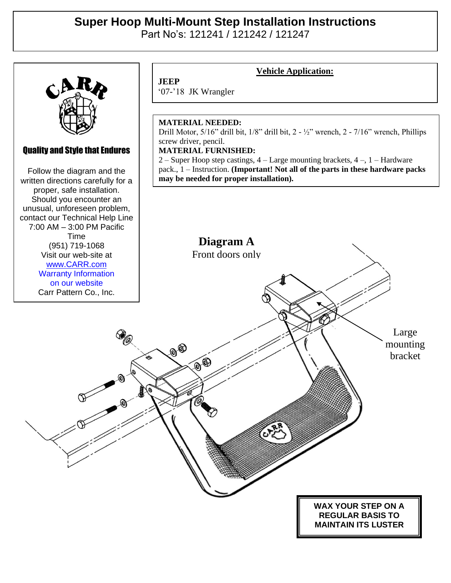## **Super Hoop Multi-Mount Step Installation Instructions**  Part No's: 121241 / 121242 / 121247



### Quality and Style that Endures

Quality and Style that Endures Follow the diagram and the Follow the diagram and the written directions carefully for a written directions carefully for a proper, safe installation. proper, safe installation. Should you encounter an Should you encounter an unusual, unforeseen problem, unusual, unforeseen problem, contact our Technical Help Line contact our Technical Help Line 7:00 AM – 3:00 PM Pacific Time<br>Time Visit our web-site at (951) 719-1068 ww.carr.com<br>. . . . Visit our web-site at [www.CARR.com](http://www.carr.com/) Warranty Information on our website Carr Pattern Co., Inc.

# **JEEP**

### **Vehicle Application:**

'07-'18 JK Wrangler

### **MATERIAL NEEDED:**

Drill Motor, 5/16" drill bit, 1/8" drill bit, 2 - ½" wrench, 2 - 7/16" wrench, Phillips screw driver, pencil.

#### **MATERIAL FURNISHED:**

2 – Super Hoop step castings, 4 – Large mounting brackets, 4 –, 1 – Hardware pack., 1 – Instruction. **(Important! Not all of the parts in these hardware packs may be needed for proper installation).**